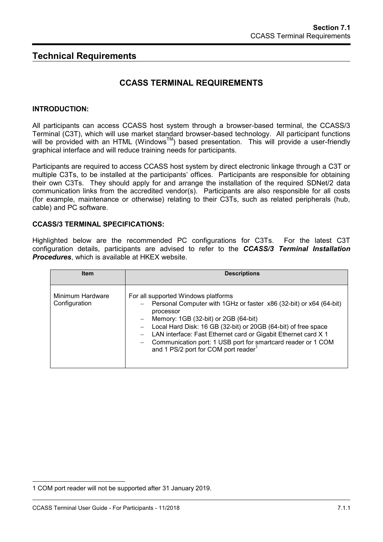# **Technical Requirements**

# **CCASS TERMINAL REQUIREMENTS**

### **INTRODUCTION:**

All participants can access CCASS host system through a browser-based terminal, the CCASS/3 Terminal (C3T), which will use market standard browser-based technology. All participant functions will be provided with an HTML (Windows<sup>TM</sup>) based presentation. This will provide a user-friendly graphical interface and will reduce training needs for participants.

Participants are required to access CCASS host system by direct electronic linkage through a C3T or multiple C3Ts, to be installed at the participants' offices. Participants are responsible for obtaining their own C3Ts. They should apply for and arrange the installation of the required SDNet/2 data communication links from the accredited vendor(s). Participants are also responsible for all costs (for example, maintenance or otherwise) relating to their C3Ts, such as related peripherals (hub, cable) and PC software.

### **CCASS/3 TERMINAL SPECIFICATIONS:**

Highlighted below are the recommended PC configurations for C3Ts. For the latest C3T configuration details, participants are advised to refer to the *CCASS/3 Terminal Installation Procedures*, which is available at HKEX website.

| <b>Item</b>                       | <b>Descriptions</b>                                                                                                                                                                                                                                                                                                                                                                                                        |
|-----------------------------------|----------------------------------------------------------------------------------------------------------------------------------------------------------------------------------------------------------------------------------------------------------------------------------------------------------------------------------------------------------------------------------------------------------------------------|
| Minimum Hardware<br>Configuration | For all supported Windows platforms<br>Personal Computer with 1GHz or faster x86 (32-bit) or x64 (64-bit)<br>processor<br>$-$ Memory: 1GB (32-bit) or 2GB (64-bit)<br>Local Hard Disk: 16 GB (32-bit) or 20GB (64-bit) of free space<br>LAN interface: Fast Ethernet card or Gigabit Ethernet card X 1<br>Communication port: 1 USB port for smartcard reader or 1 COM<br>and 1 PS/2 port for COM port reader <sup>1</sup> |

l

<sup>1</sup> COM port reader will not be supported after 31 January 2019.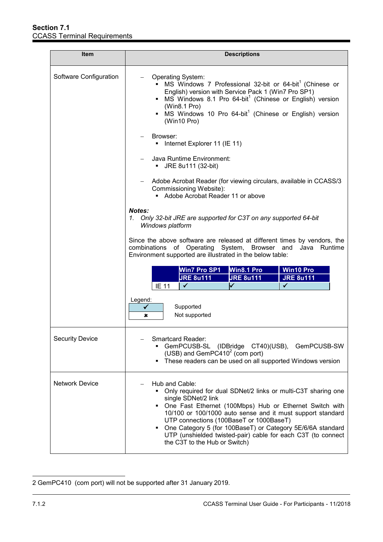| Item                   | <b>Descriptions</b>                                                                                                                                                                                                                                                                                                                                                                                                                              |  |  |
|------------------------|--------------------------------------------------------------------------------------------------------------------------------------------------------------------------------------------------------------------------------------------------------------------------------------------------------------------------------------------------------------------------------------------------------------------------------------------------|--|--|
| Software Configuration | Operating System:<br>MS Windows 7 Professional 32-bit or 64-bit <sup>1</sup> (Chinese or<br>English) version with Service Pack 1 (Win7 Pro SP1)<br>• MS Windows 8.1 Pro 64-bit <sup>1</sup> (Chinese or English) version<br>(Win8.1 Pro)<br>• MS Windows 10 Pro 64-bit <sup>1</sup> (Chinese or English) version<br>(Win10 Pro)                                                                                                                  |  |  |
|                        | Browser:<br>Internet Explorer 11 (IE 11)                                                                                                                                                                                                                                                                                                                                                                                                         |  |  |
|                        | Java Runtime Environment:<br>JRE 8u111 (32-bit)<br>٠                                                                                                                                                                                                                                                                                                                                                                                             |  |  |
|                        | Adobe Acrobat Reader (for viewing circulars, available in CCASS/3<br>Commissioning Website):<br>Adobe Acrobat Reader 11 or above                                                                                                                                                                                                                                                                                                                 |  |  |
|                        | Notes:<br>1. Only 32-bit JRE are supported for C3T on any supported 64-bit<br>Windows platform                                                                                                                                                                                                                                                                                                                                                   |  |  |
|                        | Since the above software are released at different times by vendors, the<br>combinations of Operating System, Browser and<br>Runtime<br>Java<br>Environment supported are illustrated in the below table:                                                                                                                                                                                                                                        |  |  |
|                        | <b>Win7 Pro SP1</b><br>Win8.1 Pro<br><b>Win10 Pro</b><br><b>JRE 8u111</b><br><b>JRE 8u111</b><br><b>JRE 8u111</b><br>✓<br><b>IE 11</b>                                                                                                                                                                                                                                                                                                           |  |  |
|                        | Legend:<br>Supported<br>Not supported<br>×                                                                                                                                                                                                                                                                                                                                                                                                       |  |  |
| <b>Security Device</b> | Smartcard Reader:<br>GemPCUSB-SL (IDBridge CT40)(USB), GemPCUSB-SW<br>(USB) and GemPC410 $2$ (com port)<br>These readers can be used on all supported Windows version<br>٠                                                                                                                                                                                                                                                                       |  |  |
| <b>Network Device</b>  | Hub and Cable:<br>Only required for dual SDNet/2 links or multi-C3T sharing one<br>single SDNet/2 link<br>• One Fast Ethernet (100Mbps) Hub or Ethernet Switch with<br>10/100 or 100/1000 auto sense and it must support standard<br>UTP connections (100BaseT or 1000BaseT)<br>One Category 5 (for 100BaseT) or Category 5E/6/6A standard<br>٠<br>UTP (unshielded twisted-pair) cable for each C3T (to connect<br>the C3T to the Hub or Switch) |  |  |

 $\overline{a}$ 2 GemPC410 (com port) will not be supported after 31 January 2019.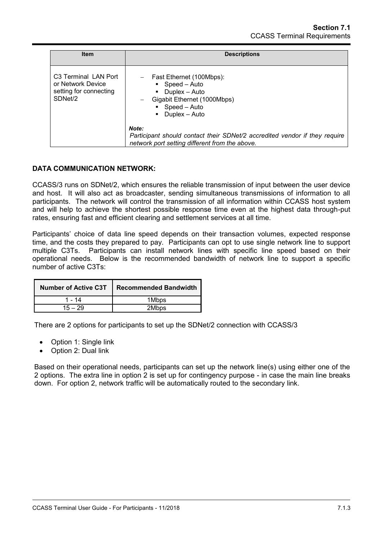| <b>Item</b>                                                                                | <b>Descriptions</b>                                                                                                                   |
|--------------------------------------------------------------------------------------------|---------------------------------------------------------------------------------------------------------------------------------------|
| C <sub>3</sub> Terminal LAN Port<br>or Network Device<br>setting for connecting<br>SDNet/2 | Fast Ethernet (100Mbps):<br>Speed - Auto<br>Duplex - Auto<br>Gigabit Ethernet (1000Mbps)<br>$\bullet$ Speed – Auto<br>Duplex - Auto   |
|                                                                                            | Note:<br>Participant should contact their SDNet/2 accredited vendor if they require<br>network port setting different from the above. |

## **DATA COMMUNICATION NETWORK:**

CCASS/3 runs on SDNet/2, which ensures the reliable transmission of input between the user device and host. It will also act as broadcaster, sending simultaneous transmissions of information to all participants. The network will control the transmission of all information within CCASS host system and will help to achieve the shortest possible response time even at the highest data through-put rates, ensuring fast and efficient clearing and settlement services at all time.

Participants' choice of data line speed depends on their transaction volumes, expected response time, and the costs they prepared to pay. Participants can opt to use single network line to support multiple C3Ts. Participants can install network lines with specific line speed based on their operational needs. Below is the recommended bandwidth of network line to support a specific number of active C3Ts:

| <b>Number of Active C3T</b> | <b>Recommended Bandwidth</b> |
|-----------------------------|------------------------------|
| 1 - 14                      | 1Mbps                        |
| $15 - 29$                   | 2Mbps                        |

There are 2 options for participants to set up the SDNet/2 connection with CCASS/3

- Option 1: Single link
- Option 2: Dual link

Based on their operational needs, participants can set up the network line(s) using either one of the 2 options. The extra line in option 2 is set up for contingency purpose - in case the main line breaks down. For option 2, network traffic will be automatically routed to the secondary link.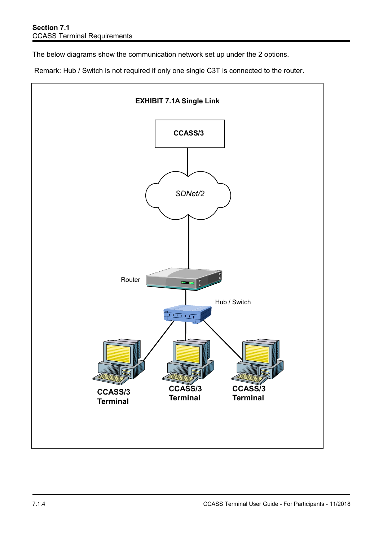The below diagrams show the communication network set up under the 2 options.

Remark: Hub / Switch is not required if only one single C3T is connected to the router.

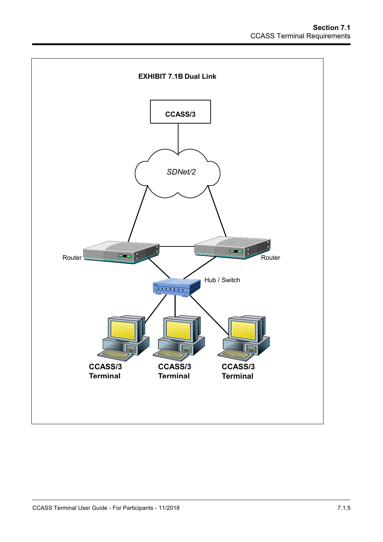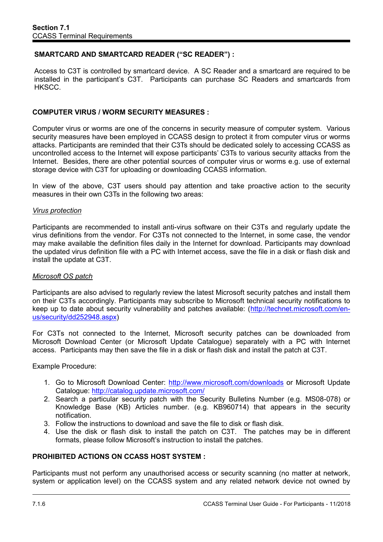# **SMARTCARD AND SMARTCARD READER ("SC READER") :**

Access to C3T is controlled by smartcard device. A SC Reader and a smartcard are required to be installed in the participant's C3T. Participants can purchase SC Readers and smartcards from HKSCC.

# **COMPUTER VIRUS / WORM SECURITY MEASURES :**

Computer virus or worms are one of the concerns in security measure of computer system. Various security measures have been employed in CCASS design to protect it from computer virus or worms attacks. Participants are reminded that their C3Ts should be dedicated solely to accessing CCASS as uncontrolled access to the Internet will expose participants' C3Ts to various security attacks from the Internet. Besides, there are other potential sources of computer virus or worms e.g. use of external storage device with C3T for uploading or downloading CCASS information.

In view of the above, C3T users should pay attention and take proactive action to the security measures in their own C3Ts in the following two areas:

#### *Virus protection*

Participants are recommended to install anti-virus software on their C3Ts and regularly update the virus definitions from the vendor. For C3Ts not connected to the Internet, in some case, the vendor may make available the definition files daily in the Internet for download. Participants may download the updated virus definition file with a PC with Internet access, save the file in a disk or flash disk and install the update at C3T.

## *Microsoft OS patch*

Participants are also advised to regularly review the latest Microsoft security patches and install them on their C3Ts accordingly. Participants may subscribe to Microsoft technical security notifications to keep up to date about security vulnerability and patches available: [\(http://technet.microsoft.com/en](http://technet.microsoft.com/en-us/security/dd252948.aspx)[us/security/dd252948.aspx\)](http://technet.microsoft.com/en-us/security/dd252948.aspx)

For C3Ts not connected to the Internet, Microsoft security patches can be downloaded from Microsoft Download Center (or Microsoft Update Catalogue) separately with a PC with Internet access. Participants may then save the file in a disk or flash disk and install the patch at C3T.

Example Procedure:

- 1. Go to Microsoft Download Center:<http://www.microsoft.com/downloads> or Microsoft Update Catalogue:<http://catalog.update.microsoft.com/>
- 2. Search a particular security patch with the Security Bulletins Number (e.g. MS08-078) or Knowledge Base (KB) Articles number. (e.g. KB960714) that appears in the security notification.
- 3. Follow the instructions to download and save the file to disk or flash disk.
- 4. Use the disk or flash disk to install the patch on C3T. The patches may be in different formats, please follow Microsoft's instruction to install the patches.

## **PROHIBITED ACTIONS ON CCASS HOST SYSTEM :**

Participants must not perform any unauthorised access or security scanning (no matter at network, system or application level) on the CCASS system and any related network device not owned by